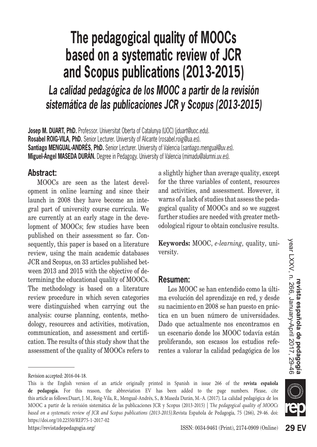# **The pedagogical quality of MOOCs based on a systematic review of JCR and Scopus publications (2013-2015)** *La calidad pedagógica de los MOOC a partir de la revisión sistemática de las publicaciones JCR y Scopus (2013-2015)*

**Josep M. DUART, PhD.** Professor. Universitat Oberta of Catalunya (UOC) (*jduart@uoc.edu*). **Rosabel ROIG-VILA, PhD.** Senior Lecturer. University of Alicante (*rosabel.roig@ua.es*). **Santiago MENGUAL-ANDRÉS, PhD.** Senior Lecturer. University of Valencia (*santiago.mengual@uv.es*). **Miguel-Ángel MASEDA DURÁN.** Degree in Pedagogy. University of Valencia (*mimadu@alumni.uv.es*).

#### **Abstract:**

MOOCs are seen as the latest development in online learning and since their launch in 2008 they have become an integral part of university course curricula. We are currently at an early stage in the development of MOOCs; few studies have been published on their assessment so far. Consequently, this paper is based on a literature review, using the main academic databases JCR and Scopus, on 33 articles published between 2013 and 2015 with the objective of determining the educational quality of MOOCs. The methodology is based on a literature review procedure in which seven categories were distinguished when carrying out the analysis: course planning, contents, methodology, resources and activities, motivation, communication, and assessment and certification. The results of this study show that the assessment of the quality of MOOCs refers to

**Keywords:** MOOC, *e-learning*, quality, university.

#### **Resumen:**

Los MOOC se han entendido como la última evolución del aprendizaje en red, y desde su nacimiento en 2008 se han puesto en práctica en un buen número de universidades. Dado que actualmente nos encontramos en un escenario donde los MOOC todavía están proliferando, son escasos los estudios referentes a valorar la calidad pedagógica de los

a slightly higher than average quality, except for the three variables of content, resources and activities, and assessment. However, it warns of a lack of studies that assess the pedagogical quality of MOOCs and so we suggest further studies are needed with greater methodological rigour to obtain conclusive results.

Revision accepted: 2016-04-18.

This is the English version of an article originally printed in Spanish in issue 266 of the **revista española de pedagogía.** For this reason, the abbreviation EV has been added to the page numbers. Please, cite this article as follows:Duart, J. M., Roig-Vila, R., Mengual-Andrés, S., & Maseda Durán, M.-A. (2017). La calidad pedagógica de los MOOC a partir de la revisión sistemática de las publicaciones JCR y Scopus (2013-2015) | T*he pedagogical quality of MOOCs based on a systematic review of JCR and Scopus publications (2013-2015)*.Revista Española de Pedagogía, 75 (266), 29-46. doi: https://doi.org/10.22550/REP75-1-2017-02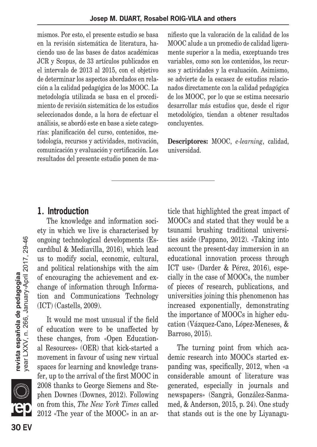mismos. Por esto, el presente estudio se basa en la revisión sistemática de literatura, haciendo uso de las bases de datos académicas JCR y Scopus, de 33 artículos publicados en el intervalo de 2013 al 2015, con el objetivo de determinar los aspectos abordados en relación a la calidad pedagógica de los MOOC. La metodología utilizada se basa en el procedimiento de revisión sistemática de los estudios seleccionados donde, a la hora de efectuar el análisis, se abordó este en base a siete categorías: planificación del curso, contenidos, metodología, recursos y actividades, motivación, comunicación y evaluación y certificación. Los resultados del presente estudio ponen de manifiesto que la valoración de la calidad de los MOOC alude a un promedio de calidad ligeramente superior a la media, exceptuando tres variables, como son los contenidos, los recursos y actividades y la evaluación. Asimismo, se advierte de la escasez de estudios relacionados directamente con la calidad pedagógica de los MOOC, por lo que se estima necesario desarrollar más estudios que, desde el rigor metodológico, tiendan a obtener resultados concluyentes.

**Descriptores:** MOOC, *e-learning*, calidad, universidad.

### **1. Introduction**

The knowledge and information society in which we live is characterised by ongoing technological developments (Escardíbul & Mediavilla, 2016), which lead us to modify social, economic, cultural, and political relationships with the aim of encouraging the achievement and exchange of information through Information and Communications Technology (ICT) (Castells, 2009).

It would me most unusual if the field of education were to be unaffected by these changes, from «Open Educational Resources» (OER) that kick-started a movement in favour of using new virtual spaces for learning and knowledge transfer, up to the arrival of the first MOOC in 2008 thanks to George Siemens and Stephen Downes (Downes, 2012). Following on from this, *The New York Times* called 2012 «The year of the MOOC» in an article that highlighted the great impact of MOOCs and stated that they would be a tsunami brushing traditional universities aside (Pappano, 2012). «Taking into account the present-day immersion in an educational innovation process through ICT use» (Darder & Pérez, 2016), especially in the case of MOOCs, the number of pieces of research, publications, and universities joining this phenomenon has increased exponentially, demonstrating the importance of MOOCs in higher education (Vázquez-Cano, López-Meneses, & Barroso, 2015).

The turning point from which academic research into MOOCs started expanding was, specifically, 2012, when «a considerable amount of literature was generated, especially in journals and newspapers» (Sangrà, González-Sanmamed, & Anderson, 2015, p. 24). One study that stands out is the one by Liyanagu

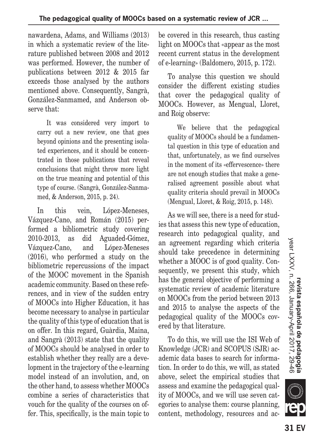nawardena, Adams, and Williams (2013) in which a systematic review of the literature published between 2008 and 2012 was performed. However, the number of publications between 2012 & 2015 far exceeds those analysed by the authors mentioned above. Consequently, Sangrà, González-Sanmamed, and Anderson observe that:

It was considered very import to carry out a new review, one that goes beyond opinions and the presenting isolated experiences, and it should be concentrated in those publications that reveal conclusions that might throw more light on the true meaning and potential of this type of course. (Sangrà, González-Sanmamed, & Anderson, 2015, p. 24).

In this vein, López-Meneses, Vázquez-Cano, and Román (2015) performed a bibliometric study covering 2010-2013, as did Aguaded-Gómez, Vázquez-Cano, and López-Meneses (2016), who performed a study on the bibliometric repercussions of the impact of the MOOC movement in the Spanish academic community. Based on these references, and in view of the sudden entry of MOOCs into Higher Education, it has become necessary to analyse in particular the quality of this type of education that is on offer. In this regard, Guàrdia, Maina, and Sangrà (2013) state that the quality of MOOCs should be analysed in order to establish whether they really are a development in the trajectory of the e-learning model instead of an involution, and, on the other hand, to assess whether MOOCs combine a series of characteristics that vouch for the quality of the courses on offer. This, specifically, is the main topic to be covered in this research, thus casting light on MOOCs that «appear as the most recent current status in the development of e-learning» (Baldomero, 2015, p. 172).

To analyse this question we should consider the different existing studies that cover the pedagogical quality of MOOCs. However, as Mengual, Lloret, and Roig observe:

We believe that the pedagogical quality of MOOCs should be a fundamental question in this type of education and that, unfortunately, as we find ourselves in the moment of its «effervescence» there are not enough studies that make a generalised agreement possible about what quality criteria should prevail in MOOCs (Mengual, Lloret, & Roig, 2015, p. 148).

As we will see, there is a need for studies that assess this new type of education, research into pedagogical quality, and an agreement regarding which criteria should take precedence in determining whether a MOOC is of good quality. Consequently, we present this study, which has the general objective of performing a systematic review of academic literature on MOOCs from the period between 2013 and 2015 to analyse the aspects of the pedagogical quality of the MOOCs covered by that literature.

To do this, we will use the ISI Web of Knowledge (JCR) and SCOPUS (SJR) academic data bases to search for information. In order to do this, we will, as stated above, select the empirical studies that assess and examine the pedagogical quality of MOOCs, and we will use seven categories to analyse them: course planning, content, methodology, resources and ac

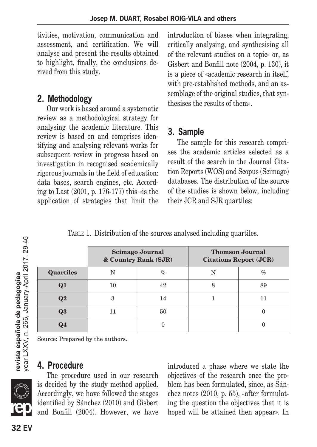tivities, motivation, communication and assessment, and certification. We will analyse and present the results obtained to highlight, finally, the conclusions derived from this study.

### **2. Methodology**

Our work is based around a systematic review as a methodological strategy for analysing the academic literature. This review is based on and comprises identifying and analysing relevant works for subsequent review in progress based on investigation in recognised academically rigorous journals in the field of education: data bases, search engines, etc. According to Last (2001, p. 176-177) this «is the application of strategies that limit the introduction of biases when integrating, critically analysing, and synthesising all of the relevant studies on a topic» or, as Gisbert and Bonfill note (2004, p. 130), it is a piece of «academic research in itself, with pre-established methods, and an assemblage of the original studies, that synthesises the results of them».

## **3. Sample**

The sample for this research comprises the academic articles selected as a result of the search in the Journal Citation Reports (WOS) and Scopus (Scimago) databases. The distribution of the source of the studies is shown below, including their JCR and SJR quartiles:

TABLE 1. Distribution of the sources analysed including quartiles.

|                  | <b>Scimago Journal</b><br>& Country Rank (SJR) |      | <b>Thomson Journal</b><br><b>Citations Report (JCR)</b> |      |
|------------------|------------------------------------------------|------|---------------------------------------------------------|------|
| <b>Quartiles</b> | N                                              | $\%$ | N                                                       | $\%$ |
| $\mathbf{Q}1$    | 10                                             | 42   | 8                                                       | 89   |
| Q2               | 3                                              | 14   |                                                         |      |
| Q3               | 11                                             | 50   |                                                         |      |
| Ω4               |                                                |      |                                                         |      |

Source: Prepared by the authors.

### **4. Procedure**

The procedure used in our research is decided by the study method applied. Accordingly, we have followed the stages identified by Sánchez (2010) and Gisbert and Bonfill (2004). However, we have introduced a phase where we state the objectives of the research once the problem has been formulated, since, as Sánchez notes (2010, p. 55), «after formulating the question the objectives that it is hoped will be attained then appear». In

/ear LXXV, n. 266, January-April 2017, 29-46

revista española de pedagogíaa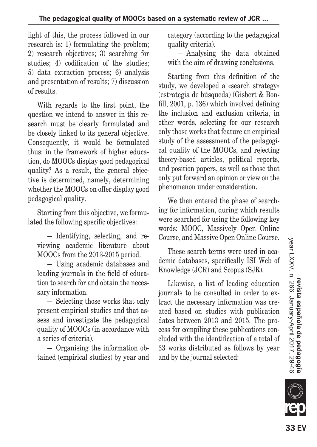light of this, the process followed in our research is: 1) formulating the problem; 2) research objectives; 3) searching for studies; 4) codification of the studies; 5) data extraction process; 6) analysis and presentation of results; 7) discussion of results.

With regards to the first point, the question we intend to answer in this research must be clearly formulated and be closely linked to its general objective. Consequently, it would be formulated thus: in the framework of higher education, do MOOCs display good pedagogical quality? As a result, the general objective is determined, namely, determining whether the MOOCs on offer display good pedagogical quality.

Starting from this objective, we formulated the following specific objectives:

— Identifying, selecting, and reviewing academic literature about MOOCs from the 2013-2015 period.

— Using academic databases and leading journals in the field of education to search for and obtain the necessary information.

— Selecting those works that only present empirical studies and that assess and investigate the pedagogical quality of MOOCs (in accordance with a series of criteria).

— Organising the information obtained (empirical studies) by year and category (according to the pedagogical quality criteria).

— Analysing the data obtained with the aim of drawing conclusions.

Starting from this definition of the study, we developed a «search strategy» (estrategia de búsqueda) (Gisbert & Bonfill, 2001, p. 136) which involved defining the inclusion and exclusion criteria, in other words, selecting for our research only those works that feature an empirical study of the assessment of the pedagogical quality of the MOOCs, and rejecting theory-based articles, political reports, and position papers, as well as those that only put forward an opinion or view on the phenomenon under consideration.

We then entered the phase of searching for information, during which results were searched for using the following key words: MOOC, Massively Open Online Course, and Massive Open Online Course.

These search terms were used in academic databases, specifically ISI Web of Knowledge (JCR) and Scopus (SJR).

Likewise, a list of leading education journals to be consulted in order to extract the necessary information was created based on studies with publication dates between 2013 and 2015. The process for compiling these publications concluded with the identification of a total of 33 works distributed as follows by year and by the journal selected:

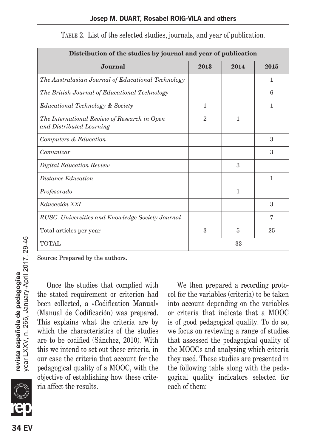| Distribution of the studies by journal and year of publication           |                |      |               |  |
|--------------------------------------------------------------------------|----------------|------|---------------|--|
| Journal                                                                  | 2013           | 2014 | 2015          |  |
| The Australasian Journal of Educational Technology                       |                |      | $\mathbf{1}$  |  |
| The British Journal of Educational Technology                            |                |      | 6             |  |
| Educational Technology & Society                                         | $\mathbf{1}$   |      | $\mathbf{1}$  |  |
| The International Review of Research in Open<br>and Distributed Learning | $\overline{2}$ | 1    |               |  |
| Computers & Education                                                    |                |      | $\mathcal{S}$ |  |
| Comunicar                                                                |                |      | 3             |  |
| Digital Education Review                                                 |                | 3    |               |  |
| Distance Education                                                       |                |      | $\mathbf{1}$  |  |
| Profesorado                                                              |                | 1    |               |  |
| Educación XXI                                                            |                |      | 3             |  |
| RUSC. Universities and Knowledge Society Journal                         |                |      | 7             |  |
| Total articles per year                                                  | 3              | 5    | 25            |  |
| <b>TOTAL</b>                                                             | 33             |      |               |  |

| TABLE 2. List of the selected studies, journals, and year of publication. |  |  |  |  |
|---------------------------------------------------------------------------|--|--|--|--|
|---------------------------------------------------------------------------|--|--|--|--|

Source: Prepared by the authors.

Once the studies that complied with the stated requirement or criterion had been collected, a «Codification Manual» (Manual de Codificación) was prepared. This explains what the criteria are by which the characteristics of the studies are to be codified (Sánchez, 2010). With this we intend to set out these criteria, in our case the criteria that account for the pedagogical quality of a MOOC, with the objective of establishing how these criteria affect the results.

We then prepared a recording protocol for the variables (criteria) to be taken into account depending on the variables or criteria that indicate that a MOOC is of good pedagogical quality. To do so, we focus on reviewing a range of studies that assessed the pedagogical quality of the MOOCs and analysing which criteria they used. These studies are presented in the following table along with the pedagogical quality indicators selected for each of them:

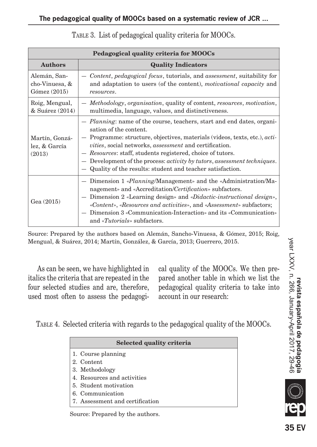| Pedagogical quality criteria for MOOCs         |                                                                                                                                                                                                                                                                                                                                                                                                                                                                                           |  |  |  |
|------------------------------------------------|-------------------------------------------------------------------------------------------------------------------------------------------------------------------------------------------------------------------------------------------------------------------------------------------------------------------------------------------------------------------------------------------------------------------------------------------------------------------------------------------|--|--|--|
| <b>Authors</b>                                 | <b>Quality Indicators</b>                                                                                                                                                                                                                                                                                                                                                                                                                                                                 |  |  |  |
| Alemán, San-<br>cho-Vinuesa, &<br>Gómez (2015) | Content, pedagogical focus, tutorials, and assessment, suitability for<br>and adaptation to users (of the content), <i>motivational capacity</i> and<br>resources.                                                                                                                                                                                                                                                                                                                        |  |  |  |
| Roig, Mengual,<br>& Suárez (2014)              | - Methodology, organisation, quality of content, resources, motivation,<br>multimedia, language, values, and distinctiveness.                                                                                                                                                                                                                                                                                                                                                             |  |  |  |
| Martín, Gonzá-<br>lez, & García<br>(2013)      | - <i>Planning</i> : name of the course, teachers, start and end dates, organi-<br>sation of the content.<br>Programme: structure, objectives, materials (videos, texts, etc.), <i>acti-</i><br><i>vities</i> , social networks, <i>assessment</i> and certification.<br>- Resources: staff, students registered, choice of tutors.<br>Development of the process: <i>activity by tutors</i> , <i>assessment techniques</i> .<br>Quality of the results: student and teacher satisfaction. |  |  |  |
| Gea (2015)                                     | - Dimension 1 « <i>Planning</i> /Management» and the «Administration/Ma-<br>nagement» and «Accreditation/Certification» subfactors.<br>Dimension 2 «Learning design» and «Didactic-instructional design»,<br>«Content», «Resources and activities», and «Assessment» subfactors;<br>Dimension 3 «Communication-Interaction» and its «Communication»<br>and « <i>Tutorials</i> » subfactors.                                                                                               |  |  |  |

TABLE 3. List of pedagogical quality criteria for MOOCs.

Source: Prepared by the authors based on Alemán, Sancho-Vinuesa, & Gómez, 2015; Roig, Mengual, & Suárez, 2014; Martín, González, & García, 2013; Guerrero, 2015.

As can be seen, we have highlighted in italics the criteria that are repeated in the four selected studies and are, therefore, used most often to assess the pedagogical quality of the MOOCs. We then prepared another table in which we list the pedagogical quality criteria to take into account in our research:

Table 4. Selected criteria with regards to the pedagogical quality of the MOOCs.

| Selected quality criteria       |  |  |
|---------------------------------|--|--|
| 1. Course planning              |  |  |
| 2. Content                      |  |  |
| 3. Methodology                  |  |  |
| 4. Resources and activities     |  |  |
| 5. Student motivation           |  |  |
| 6. Communication                |  |  |
| 7. Assessment and certification |  |  |

Source: Prepared by the authors.

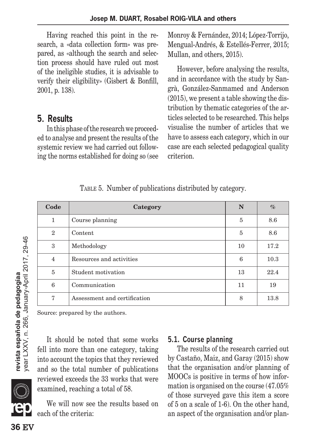Having reached this point in the research, a «data collection form» was prepared, as «although the search and selection process should have ruled out most of the ineligible studies, it is advisable to verify their eligibility» (Gisbert & Bonfill, 2001, p. 138).

### **5. Results**

In this phase of the research we proceeded to analyse and present the results of the systemic review we had carried out following the norms established for doing so (see Monroy & Fernández, 2014; López-Torrijo, Mengual-Andrés, & Estellés-Ferrer, 2015; Mullan, and others, 2015).

However, before analysing the results, and in accordance with the study by Sangrà, González-Sanmamed and Anderson (2015), we present a table showing the distribution by thematic categories of the articles selected to be researched. This helps visualise the number of articles that we have to assess each category, which in our case are each selected pedagogical quality criterion.

TABLE 5. Number of publications distributed by category.

| Code           | Category                     | N  | $\%$ |
|----------------|------------------------------|----|------|
| 1              | Course planning              | 5  | 8.6  |
| $\overline{2}$ | Content                      | 5  | 8.6  |
| 3              | Methodology                  | 10 | 17.2 |
| 4              | Resources and activities     | 6  | 10.3 |
| 5              | Student motivation           | 13 | 22.4 |
| 6              | Communication                | 11 | 19   |
| 7              | Assessment and certification | 8  | 13.8 |

Source: prepared by the authors.

It should be noted that some works fell into more than one category, taking into account the topics that they reviewed and so the total number of publications reviewed exceeds the 33 works that were examined, reaching a total of 58.

We will now see the results based on each of the criteria:

#### **5.1. Course planning**

The results of the research carried out by Castaño, Maiz, and Garay (2015) show that the organisation and/or planning of MOOCs is positive in terms of how information is organised on the course (47.05% of those surveyed gave this item a score of 5 on a scale of 1-6). On the other hand, an aspect of the organisation and/or plan

year LXXV, n. 266, January-April 2017, 29-46 **36** EV **revista española de pedagogíaa** year LXXV, n. 266, January-April 2017, 29-46 revista española de pedagogíaa

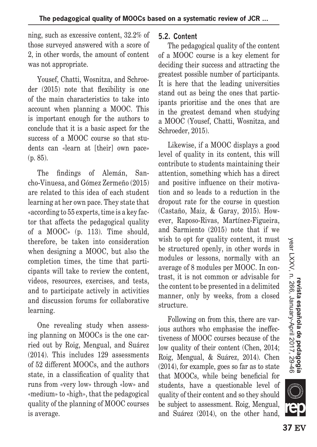ning, such as excessive content, 32.2% of those surveyed answered with a score of 2, in other words, the amount of content was not appropriate.

Yousef, Chatti, Wosnitza, and Schroeder (2015) note that flexibility is one of the main characteristics to take into account when planning a MOOC. This is important enough for the authors to conclude that it is a basic aspect for the success of a MOOC course so that students can «learn at [their] own pace» (p. 85).

The findings of Alemán, Sancho-Vinuesa, and Gómez Zermeño (2015) are related to this idea of each student learning at her own pace. They state that «according to 55 experts, time is a key factor that affects the pedagogical quality of a MOOC» (p. 113). Time should, therefore, be taken into consideration when designing a MOOC, but also the completion times, the time that participants will take to review the content, videos, resources, exercises, and tests, and to participate actively in activities and discussion forums for collaborative learning.

One revealing study when assessing planning on MOOCs is the one carried out by Roig, Mengual, and Suárez (2014). This includes 129 assessments of 52 different MOOCs, and the authors state, in a classification of quality that runs from «very low» through «low» and «medium» to «high», that the pedagogical quality of the planning of MOOC courses is average.

#### **5.2. Content**

The pedagogical quality of the content of a MOOC course is a key element for deciding their success and attracting the greatest possible number of participants. It is here that the leading universities stand out as being the ones that participants prioritise and the ones that are in the greatest demand when studying a MOOC (Yousef, Chatti, Wosnitza, and Schroeder, 2015).

Likewise, if a MOOC displays a good level of quality in its content, this will contribute to students maintaining their attention, something which has a direct and positive influence on their motivation and so leads to a reduction in the dropout rate for the course in question (Castaño, Maiz, & Garay, 2015). However, Raposo-Rivas, Martínez-Figueira, and Sarmiento (2015) note that if we wish to opt for quality content, it must be structured openly, in other words in modules or lessons, normally with an average of 8 modules per MOOC. In contrast, it is not common or advisable for the content to be presented in a delimited manner, only by weeks, from a closed structure.

Following on from this, there are various authors who emphasise the ineffectiveness of MOOC courses because of the low quality of their content (Chen, 2014; Roig, Mengual, & Suárez, 2014). Chen (2014), for example, goes so far as to state that MOOCs, while being beneficial for students, have a questionable level of quality of their content and so they should be subject to assessment. Roig, Mengual, and Suárez (2014), on the other hand,



**SILLE**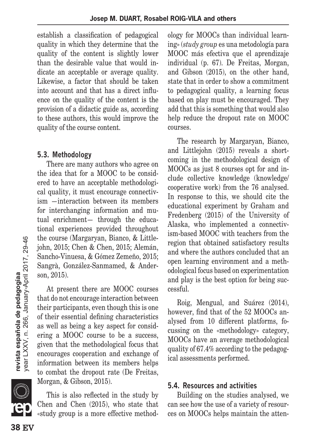establish a classification of pedagogical quality in which they determine that the quality of the content is slightly lower than the desirable value that would indicate an acceptable or average quality. Likewise, a factor that should be taken into account and that has a direct influence on the quality of the content is the provision of a didactic guide as, according to these authors, this would improve the quality of the course content.

#### **5.3. Methodology**

There are many authors who agree on the idea that for a MOOC to be considered to have an acceptable methodological quality, it must encourage connectivism —interaction between its members for interchanging information and mutual enrichment— through the educational experiences provided throughout the course (Margaryan, Bianco, & Littlejohn, 2015; Chen & Chen, 2015; Alemán, Sancho-Vinuesa, & Gómez Zemeño, 2015; Sangrà, González-Sanmamed, & Anderson, 2015).

At present there are MOOC courses that do not encourage interaction between their participants, even though this is one of their essential defining characteristics as well as being a key aspect for considering a MOOC course to be a success, given that the methodological focus that encourages cooperation and exchange of information between its members helps to combat the dropout rate (De Freitas, Morgan, & Gibson, 2015).

This is also reflected in the study by Chen and Chen (2015), who state that «study group is a more effective methodology for MOOCs than individual learning» (*study group* es una metodología para MOOC más efectiva que el aprendizaje individual (p. 67). De Freitas, Morgan, and Gibson (2015), on the other hand, state that in order to show a commitment to pedagogical quality, a learning focus based on play must be encouraged. They add that this is something that would also help reduce the dropout rate on MOOC courses.

The research by Margaryan, Bianco, and Littlejohn (2015) reveals a shortcoming in the methodological design of MOOCs as just 8 courses opt for and include collective knowledge (knowledge/ cooperative work) from the 76 analysed. In response to this, we should cite the educational experiment by Graham and Fredenberg (2015) of the University of Alaska, who implemented a connectivism-based MOOC with teachers from the region that obtained satisfactory results and where the authors concluded that an open learning environment and a methodological focus based on experimentation and play is the best option for being successful.

Roig, Mengual, and Suárez (2014), however, find that of the 52 MOOCs analysed from 10 different platforms, focussing on the «methodology» category, MOOCs have an average methodological quality of 67.4% according to the pedagogical assessments performed.

#### **5.4. Resources and activities**

Building on the studies analysed, we can see how the use of a variety of resources on MOOCs helps maintain the atten

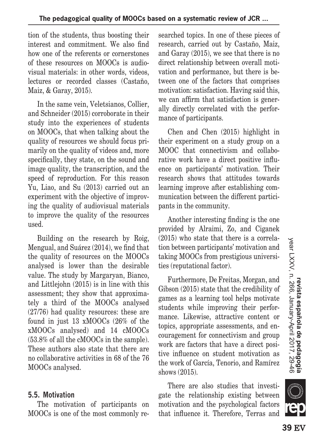tion of the students, thus boosting their interest and commitment. We also find how one of the referents or cornerstones of these resources on MOOCs is audiovisual materials: in other words, videos, lectures or recorded classes (Castaño, Maiz, & Garay, 2015).

In the same vein, Veletsianos, Collier, and Schneider (2015) corroborate in their study into the experiences of students on MOOCs, that when talking about the quality of resources we should focus primarily on the quality of videos and, more specifically, they state, on the sound and image quality, the transcription, and the speed of reproduction. For this reason Yu, Liao, and Su (2013) carried out an experiment with the objective of improving the quality of audiovisual materials to improve the quality of the resources used.

Building on the research by Roig, Mengual, and Suárez (2014), we find that the quality of resources on the MOOCs analysed is lower than the desirable value. The study by Margaryan, Bianco, and Littlejohn (2015) is in line with this assessment; they show that approximately a third of the MOOCs analysed (27/76) had quality resources: these are found in just 13 xMOOCs (26% of the xMOOCs analysed) and 14 cMOOCs (53.8% of all the cMOOCs in the sample). These authors also state that there are no collaborative activities in 68 of the 76 MOOCs analysed.

#### **5.5. Motivation**

The motivation of participants on MOOCs is one of the most commonly researched topics. In one of these pieces of research, carried out by Castaño, Maiz, and Garay (2015), we see that there is no direct relationship between overall motivation and performance, but there is between one of the factors that comprises motivation: satisfaction. Having said this, we can affirm that satisfaction is generally directly correlated with the performance of participants.

Chen and Chen (2015) highlight in their experiment on a study group on a MOOC that connectivism and collaborative work have a direct positive influence on participants' motivation. Their research shows that attitudes towards learning improve after establishing communication between the different participants in the community.

Another interesting finding is the one provided by Alraimi, Zo, and Ciganek (2015) who state that there is a correlation between participants' motivation and taking MOOCs from prestigious universities (reputational factor).

Furthermore, De Freitas, Morgan, and Gibson (2015) state that the credibility of games as a learning tool helps motivate students while improving their performance. Likewise, attractive content or topics, appropriate assessments, and encouragement for connectivism and group work are factors that have a direct positive influence on student motivation as the work of García, Tenorio, and Ramírez shows (2015).

There are also studies that investigate the relationship existing between motivation and the psychological factors that influence it. Therefore, Terras and

**KIIT**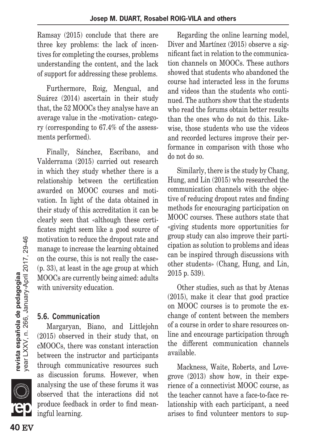Ramsay (2015) conclude that there are three key problems: the lack of incentives for completing the courses, problems understanding the content, and the lack of support for addressing these problems.

Furthermore, Roig, Mengual, and Suárez (2014) ascertain in their study that, the 52 MOOCs they analyse have an average value in the «motivation» category (corresponding to 67.4% of the assessments performed).

Finally, Sánchez, Escribano, and Valderrama (2015) carried out research in which they study whether there is a relationship between the certification awarded on MOOC courses and motivation. In light of the data obtained in their study of this accreditation it can be clearly seen that «although these certificates might seem like a good source of motivation to reduce the dropout rate and manage to increase the learning obtained on the course, this is not really the case» (p. 33), at least in the age group at which MOOCs are currently being aimed: adults with university education.

#### **5.6. Communication**

Margaryan, Biano, and Littlejohn (2015) observed in their study that, on cMOOCs, there was constant interaction between the instructor and participants through communicative resources such as discussion forums. However, when analysing the use of these forums it was observed that the interactions did not produce feedback in order to find meaningful learning.

Regarding the online learning model, Diver and Martínez (2015) observe a significant fact in relation to the communication channels on MOOCs. These authors showed that students who abandoned the course had interacted less in the forums and videos than the students who continued. The authors show that the students who read the forums obtain better results than the ones who do not do this. Likewise, those students who use the videos and recorded lectures improve their performance in comparison with those who do not do so.

Similarly, there is the study by Chang, Hung, and Lin (2015) who researched the communication channels with the objective of reducing dropout rates and finding methods for encouraging participation on MOOC courses. These authors state that «giving students more opportunities for group study can also improve their participation as solution to problems and ideas can be inspired through discussions with other students» (Chang, Hung, and Lin, 2015 p. 539).

Other studies, such as that by Atenas (2015), make it clear that good practice on MOOC courses is to promote the exchange of content between the members of a course in order to share resources online and encourage participation through the different communication channels available.

Mackness, Waite, Roberts, and Lovegrove (2013) show how, in their experience of a connectivist MOOC course, as the teacher cannot have a face-to-face relationship with each participant, a need arises to find volunteer mentors to sup

**SILLE**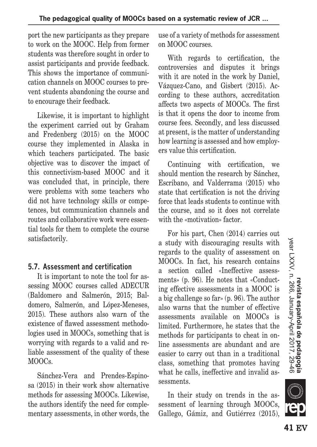port the new participants as they prepare to work on the MOOC. Help from former students was therefore sought in order to assist participants and provide feedback. This shows the importance of communication channels on MOOC courses to prevent students abandoning the course and to encourage their feedback.

Likewise, it is important to highlight the experiment carried out by Graham and Fredenberg (2015) on the MOOC course they implemented in Alaska in which teachers participated. The basic objective was to discover the impact of this connectivism-based MOOC and it was concluded that, in principle, there were problems with some teachers who did not have technology skills or competences, but communication channels and routes and collaborative work were essential tools for them to complete the course satisfactorily.

#### **5.7. Assessment and certification**

It is important to note the tool for assessing MOOC courses called ADECUR (Baldomero and Salmerón, 2015; Baldomero, Salmerón, and López-Meneses, 2015). These authors also warn of the existence of flawed assessment methodologies used in MOOCs, something that is worrying with regards to a valid and reliable assessment of the quality of these MOOCs.

Sánchez-Vera and Prendes-Espinosa (2015) in their work show alternative methods for assessing MOOCs. Likewise, the authors identify the need for complementary assessments, in other words, the use of a variety of methods for assessment on MOOC courses.

With regards to certification, the controversies and disputes it brings with it are noted in the work by Daniel. Vázquez-Cano, and Gisbert (2015). According to these authors, accreditation affects two aspects of MOOCs. The first is that it opens the door to income from course fees. Secondly, and less discussed at present, is the matter of understanding how learning is assessed and how employers value this certification.

Continuing with certification, we should mention the research by Sánchez, Escribano, and Valderrama (2015) who state that certification is not the driving force that leads students to continue with the course, and so it does not correlate with the «motivation» factor.

For his part, Chen (2014) carries out a study with discouraging results with regards to the quality of assessment on MOOCs. In fact, his research contains a section called «Ineffective assessments» (p. 96). He notes that «Conducting effective assessments in a MOOC is a big challenge so far» (p. 96). The author also warns that the number of effective assessments available on MOOCs is limited. Furthermore, he states that the methods for participants to cheat in online assessments are abundant and are easier to carry out than in a traditional class, something that promotes having what he calls, ineffective and invalid assessments.

In their study on trends in the assessment of learning through MOOCs, Gallego, Gámiz, and Gutiérrez (2015),

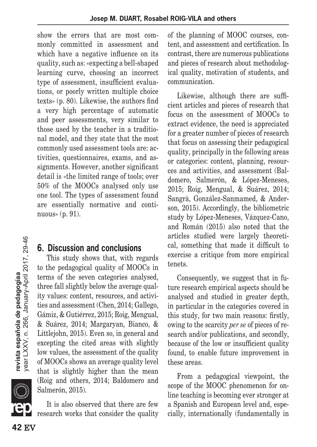show the errors that are most commonly committed in assessment and which have a negative influence on its quality, such as: «expecting a bell-shaped learning curve, choosing an incorrect type of assessment, insufficient evaluations, or poorly written multiple choice texts» (p. 80). Likewise, the authors find a very high percentage of automatic and peer assessments, very similar to those used by the teacher in a traditional model, and they state that the most commonly used assessment tools are: activities, questionnaires, exams, and assignments. However, another significant detail is «the limited range of tools; over 50% of the MOOCs analysed only use one tool. The types of assessment found are essentially normative and continuous» (p. 91).

# **6. Discussion and conclusions**

This study shows that, with regards to the pedagogical quality of MOOCs in terms of the seven categories analysed, three fall slightly below the average quality values: content, resources, and activities and assessment (Chen, 2014; Gallego, Gámiz, & Gutiérrez, 2015; Roig, Mengual, & Suárez, 2014; Margaryan, Bianco, & Littlejohn, 2015). Even so, in general and excepting the cited areas with slightly low values, the assessment of the quality of MOOCs shows an average quality level that is slightly higher than the mean (Roig and others, 2014; Baldomero and Salmerón, 2015).

It is also observed that there are few research works that consider the quality of the planning of MOOC courses, content, and assessment and certification. In contrast, there are numerous publications and pieces of research about methodological quality, motivation of students, and communication.

Likewise, although there are sufficient articles and pieces of research that focus on the assessment of MOOCs to extract evidence, the need is appreciated for a greater number of pieces of research that focus on assessing their pedagogical quality, principally in the following areas or categories: content, planning, resources and activities, and assessment (Baldomero, Salmerón, & López-Meneses, 2015; Roig, Mengual, & Suárez, 2014; Sangrà, González-Sanmamed, & Anderson, 2015). Accordingly, the bibliometric study by López-Meneses, Vázquez-Cano, and Román (2015) also noted that the articles studied were largely theoretical, something that made it difficult to exercise a critique from more empirical tenets.

Consequently, we suggest that in future research empirical aspects should be analysed and studied in greater depth, in particular in the categories covered in this study, for two main reasons: firstly, owing to the scarcity *per se* of pieces of research and/or publications, and secondly, because of the low or insufficient quality found, to enable future improvement in these areas.

From a pedagogical viewpoint, the scope of the MOOC phenomenon for online teaching is becoming ever stronger at a Spanish and European level and, especially, internationally (fundamentally in



 $\mathbb{Z}$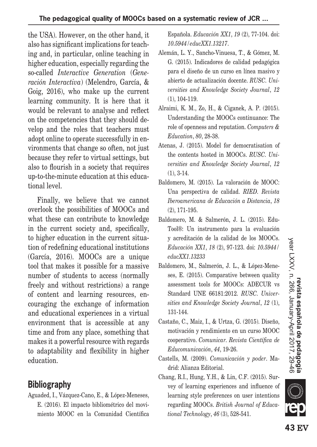the USA). However, on the other hand, it also has significant implications for teaching and, in particular, online teaching in higher education, especially regarding the so-called *Interactive Generation* (*Generación Interactiva*) (Melendro, García, & Goig, 2016), who make up the current learning community. It is here that it would be relevant to analyse and reflect on the competencies that they should develop and the roles that teachers must adopt online to operate successfully in environments that change so often, not just because they refer to virtual settings, but also to flourish in a society that requires up-to-the-minute education at this educational level.

Finally, we believe that we cannot overlook the possibilities of MOOCs and what these can contribute to knowledge in the current society and, specifically, to higher education in the current situation of redefining educational institutions (García, 2016). MOOCs are a unique tool that makes it possible for a massive number of students to access (normally freely and without restrictions) a range of content and learning resources, encouraging the exchange of information and educational experiences in a virtual environment that is accessible at any time and from any place, something that makes it a powerful resource with regards to adaptability and flexibility in higher education.

# **Bibliography**

Aguaded, I., Vázquez-Cano, E., & López-Meneses, E. (2016). El impacto bibliométrico del movimiento MOOC en la Comunidad Científica Española. *Educación XX1*, *19* (2), 77-104. doi: *10.5944/educXX1.13217*.

- Alemán, L. Y., Sancho-Vinuesa, T., & Gómez, M. G. (2015). Indicadores de calidad pedagógica para el diseño de un curso en línea masivo y abierto de actualización docente. *RUSC. Universities and Knowledge Society Journal*, *12* (1), 104-119.
- Alraimi, K. M., Zo, H., & Ciganek, A. P. (2015). Understanding the MOOCs continuance: The role of openness and reputation. *Computers & Education*, *80*, 28-38.
- Atenas, J. (2015). Model for democratisation of the contents hosted in MOOCs. *RUSC. Universities and Knowledge Society Journal*, *12* (1), 3-14.
- Baldomero, M. (2015). La valoración de MOOC: Una perspectiva de calidad. *RIED. Revista Iberoamericana de Educación a Distancia*, *18* (2), 171-195.
- Baldomero, M. & Salmerón, J. L. (2015). Edu-Tool®: Un instrumento para la evaluación y acreditación de la calidad de los MOOCs. *Educación XX1*, *18* (2), 97-123. doi: *10.5944/ educXX1.13233*
- Baldomero, M., Salmerón, J. L., & López-Meneses, E. (2015). Comparative between quality assessment tools for MOOCs: ADECUR vs Standard UNE 66181:2012. *RUSC. Universities and Knowledge Society Journal*, *12* (1), 131-144.
- Castaño, C., Maiz, I., & Urtza, G. (2015). Diseño, motivación y rendimiento en un curso MOOC cooperativo. *Comunicar. Revista Científica de Educomunicación*, *44*, 19-26.
- Castells, M. (2009). *Comunicación y poder*. Madrid: Alianza Editorial.
- Chang, R.I., Hung, Y.H., & Lin, C.F. (2015). Survey of learning experiences and influence of learning style preferences on user intentions regarding MOOCs. *British Journal of Educational Technology*, *46* (3), 528-541.

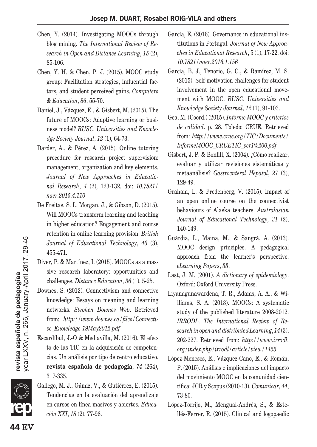- Chen, Y. (2014). Investigating MOOCs through blog mining. *The International Review of Research in Open and Distance Learning*, *15* (2), 85-106.
- Chen, Y. H. & Chen, P. J. (2015). MOOC study group: Facilitation strategies, influential factors, and student perceived gains. *Computers & Education*, *86*, 55-70.
- Daniel, J., Vázquez, E., & Gisbert, M. (2015). The future of MOOCs: Adaptive learning or business model? *RUSC. Universities and Knowledge Society Journal*, *12* (1), 64-73.
- Darder, A., & Pérez, A. (2015). Online tutoring procedure for research project supervision: management, organization and key elements. *Journal of New Approaches in Educational Research*, *4* (2), 123-132. doi: *10.7821/ naer.2015.4.110*
- De Freitas, S. I., Morgan, J., & Gibson, D. (2015). Will MOOCs transform learning and teaching in higher education? Engagement and course retention in online learning provision. *British Journal of Educational Technology*, *46* (3), 455-471.
- Diver, P. & Martínez, I. (2015). MOOCs as a massive research laboratory: opportunities and challenges. *Distance Education*, *36* (1), 5-25.
- Downes, S. (2012). Connectivism and connective knowledge: Essays on meaning and learning networks. *Stephen Downes Web*. Retrieved from: *http://www.downes.ca/files/Connective\_Knowledge-19May2012.pdf*
- Escardíbul, J.-O & Mediavilla, M. (2016). El efecto de las TIC en la adquisición de competencias. Un análisis por tipo de centro educativo. **revista española de pedagogía**, *74* (264), 317-335.
- Gallego, M. J., Gámiz, V., & Gutiérrez, E. (2015). Tendencias en la evaluación del aprendizaje en cursos en línea masivos y abiertos. *Educación XXI*, *18* (2), 77-96.
- García, E. (2016). Governance in educational institutions in Portugal. *Journal of New Approaches in Educational Research*, 5 (1), 17-22. doi: *10.7821/naer.2016.1.156*
- García, B. J., Tenorio, G. C., & Ramírez, M. S. (2015). Self-motivation challenges for student involvement in the open educational movement with MOOC. *RUSC. Universities and Knowledge Society Journal*, *12* (1), 91-103.
- Gea, M. (Coord.) (2015). *Informe MOOC y criterios de calidad*. p. 28. Toledo: CRUE. Retrieved from: *http://www.crue.org/TIC/Documents/ InformeMOOC\_CRUETIC\_ver1%200.pdf*
- Gisbert, J. P. & Bonfill, X. (2004). ¿Cómo realizar, evaluar y utilizar revisiones sistemáticas y metaanálisis? *Gastroenterol Hepatol*, *27* (3), 129-49.
- Graham, L. & Fredenberg, V. (2015). Impact of an open online course on the connectivist behaviours of Alaska teachers. *Australasian Journal of Educational Technology*, *31* (2), 140-149.
- Guàrdia, L., Maina, M., & Sangrà, A. (2013). MOOC design principles. A pedagogical approach from the learner's perspective. *eLearning Papers*, *33*.
- Last, J. M. (2001). *A dictionary of epidemiology*. Oxford: Oxford University Press.
- Liyanagunawardena, T. R., Adams, A. A., & Williams, S. A. (2013). MOOCs: A systematic study of the published literature 2008-2012. *IRRODL. The International Review of Research in open and distributed Learning*, *14* (3), 202-227. Retrieved from: *http://www.irrodl. org/index.php/irrodl/article/view/1455*
- López-Meneses, E., Vázquez-Cano, E., & Román, P. (2015). Análisis e implicaciones del impacto del movimiento MOOC en la comunidad científica: JCR y Scopus (2010-13). *Comunicar*, *44*, 73-80.
- López-Torrijo, M., Mengual-Andrés, S., & Estellés-Ferrer, R. (2015). Clinical and logopaedic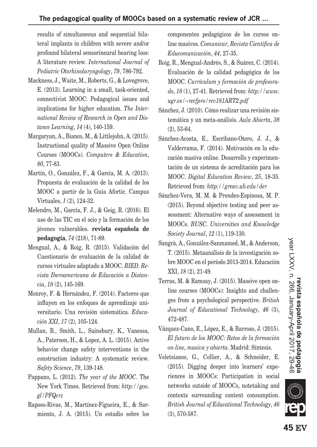#### **The pedagogical quality of MOOCs based on a systematic review of JCR ...**

results of simultaneous and sequential bilateral implants in children with severe and/or profound bilateral sensorineural hearing loos: A literature review. *International Journal of Pediatric Otorhinolaryngology*, *79*, 786-792.

- Mackness, J., Waite, M., Roberts, G., & Lovegrove, E. (2013). Learning in a small, task-oriented, connectivist MOOC: Pedagogical issues and implications for higher education. *The International Review of Research in Open and Distance Learning*, *14* (4), 140-159.
- Margaryan, A., Bianco, M., & Littlejohn, A. (2015). Instructional quality of Massive Open Online Courses (MOOCs). *Computers & Education*, *80*, 77-83.
- Martín, O., González, F., & García, M. A. (2013). Propuesta de evaluación de la calidad de los MOOC a partir de la Guía Afortic. Campus Virtuales, *1* (2), 124-32.
- Melendro, M., García, F. J., & Goig, R. (2016). El uso de las TIC en el ocio y la formación de los jóvenes vulnerables. **revista española de pedagogía**, *74* (218), 71-89.
- Mengual, A., & Roig, R. (2015). Validación del Cuestionario de evaluación de la calidad de cursos virtuales adaptado a MOOC. *RIED. Revista Iberoamericana de Educación a Distancia*, *18* (2), 145-169.
- Monroy, F. & Hernández, F. (2014). Factores que influyen en los enfoques de aprendizaje universitario. Una revisión sistemática. *Educación XXI*, *17* (2), 105-124.
- Mullan, B., Smith, L., Sainsbury, K., Vanessa, A., Paterson, H., & Lopez, A. L. (2015). Active behavior change safety interventions in the construction industry: A systematic review. *Safety Science*, *79*, 139-148.
- Pappano, L. (2012). *The year of the MOOC*. The New York Times. Retrieved from: *http://goo. gl/PFQcrz*
- Raposo-Rivas, M., Martínez-Figueira, E., & Sarmiento, J. A. (2015). Un estudio sobre los

componentes pedagógicos de los cursos online masivos. *Comunicar, Revista Científica de Educomunicación*, *44*, 27-35.

- Roig, R., Mengual-Andrés, S., & Suárez, C. (2014). Evaluación de la calidad pedagógica de los MOOC. *Currículum y formación de profesorado*, *18* (1), 27-41. Retrieved from: *http://www. ugr.es/~recfpro/rev181ART2.pdf*
- Sánchez, J. (2010). Cómo realizar una revisión sistemática y un meta-análisis. *Aula Abierta*, *38* (2), 53-64.
- Sánchez-Acosta, E., Escribano-Otero, J. J., & Valderrama, F. (2014). Motivación en la educación masiva online. Desarrollo y experimentación de un sistema de acreditación para los MOOC. *Digital Education Review*, *25*, 18-35. Retrieved from: *http://greav.ub.edu/der*
- Sánchez-Vera, M. M. & Prendes-Espinosa, M. P. (2015). Beyond objective testing and peer assessment: Alternative ways of assessment in MOOCs. *RUSC. Universities and Knowledge Society Journal*, *12* (1), 119-130.
- Sangrà, A., González-Sanmamed, M., & Anderson, T. (2015). Metaanálisis de la investigación sobre MOOC en el período 2013-2014. Educación XXI, *18* (2), 21-49.
- Terras, M. & Ramsay, J. (2015). Massive open online courses (MOOCs): Insights and challenges from a psychological perspective. *British Journal of Educational Technology*, *46* (3), 472-487.
- Vázquez-Cano, E., López, E., & Barroso, J. (2015). *El futuro de los MOOC: Retos de la formación on-line, masiva y abierta*. Madrid: Síntesis.
- Veletsianos, G., Collier, A., & Schneider, E. (2015). Digging deeper into learners' experiences in MOOCs: Participation in social networks outside of MOOCs, notetaking and contexts surrounding content consumption. *British Journal of Educational Technology*, *46* (3), 570-587.

**SILLE**